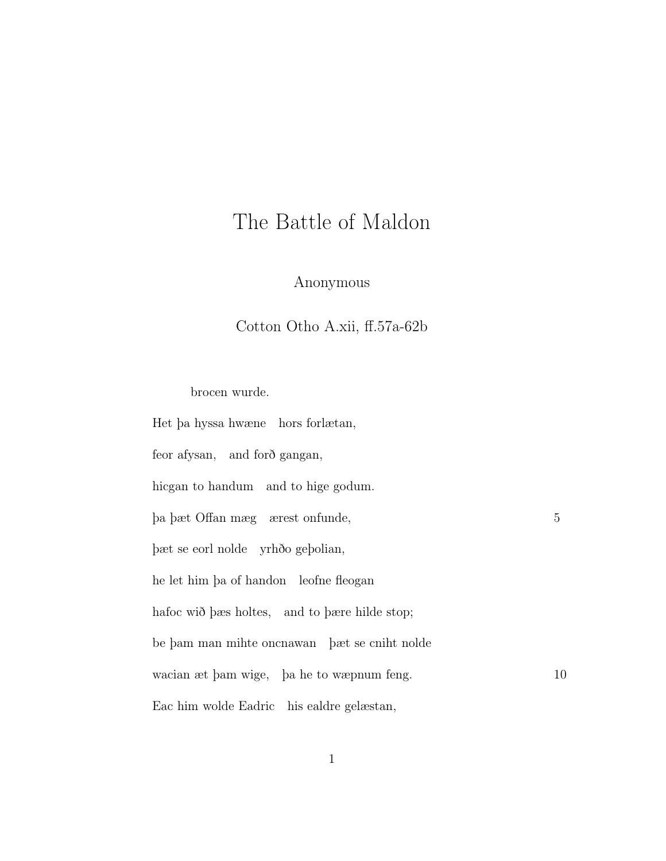## The Battle of Maldon

Anonymous

Cotton Otho A.xii, ff.57a-62b

brocen wurde.

Het þa hyssa hwæne hors forlætan, feor afysan, and forð gangan, hicgan to handum and to hige godum. þa þæt Offan mæg ærest onfunde, 5 þæt se eorl nolde yrhðo geþolian, he let him þa of handon leofne fleogan hafoc wið þæs holtes, and to þære hilde stop; be þam man mihte oncnawan þæt se cniht nolde wacian æt þam wige, þa he to wæpnum feng. 10 Eac him wolde Eadric his ealdre gelæstan,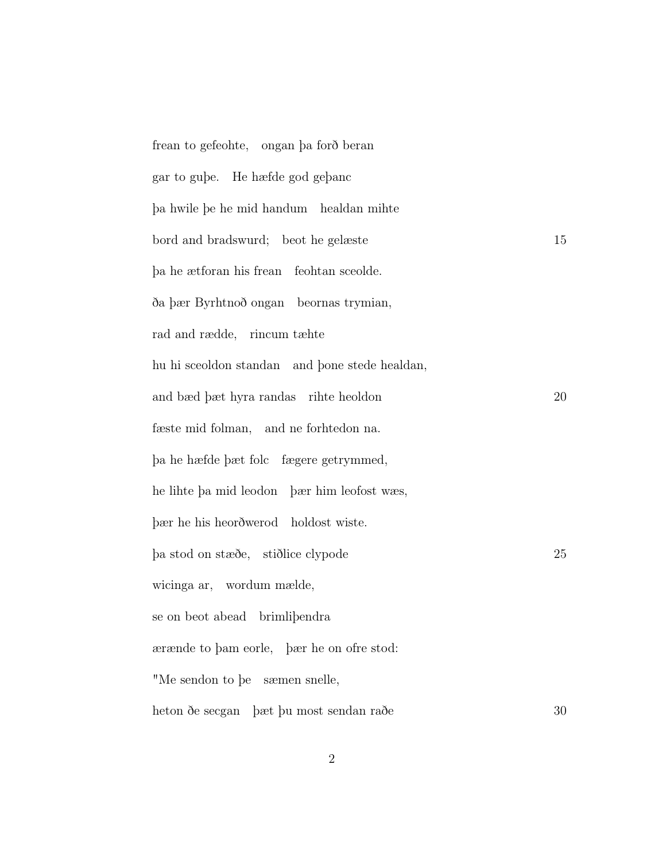| frean to gefeohte, ongan ba forð beran         |    |
|------------------------------------------------|----|
| gar to gube. He hæfde god gebanc               |    |
| ba hwile be he mid handum healdan mihte        |    |
| bord and bradswurd; beot he gelæste            | 15 |
| ba he ætforan his frean feohtan sceolde.       |    |
| ða þær Byrhtnoð ongan beornas trymian,         |    |
| rad and rædde, rincum tæhte                    |    |
| hu hi sceoldon standan and bone stede healdan, |    |
| and bæd þæt hyra randas rihte heoldon          | 20 |
| fæste mid folman, and ne forhtedon na.         |    |
| ba he hæfde bæt folc fægere getrymmed,         |    |
| he lihte ba mid leodon bær him leofost wæs,    |    |
| pær he his heorðwerod holdost wiste.           |    |
| pa stod on stæðe, stiðlice clypode             | 25 |
| wicinga ar, wordum mælde,                      |    |
| se on beot abead brimlibendra                  |    |
| aeraende to bam eorle, bær he on ofre stod:    |    |
| "Me sendon to be sæmen snelle,                 |    |
| heton de secgan pæt bu most sendan rade        | 30 |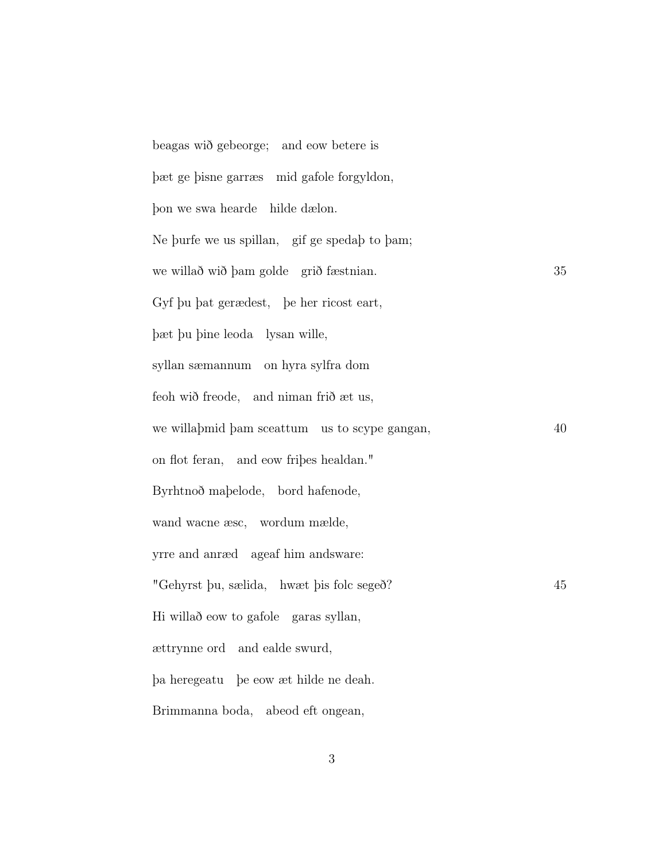beagas wið gebeorge; and eow betere is þæt ge þisne garræs mid gafole forgyldon, þon we swa hearde hilde dælon. Ne þurfe we us spillan, gif ge spedaþ to þam; we willað wið þam golde grið fæstnian. 35 Gyf þu þat gerædest, þe her ricost eart, þæt þu þine leoda lysan wille, syllan sæmannum on hyra sylfra dom feoh wið freode, and niman frið æt us, we willaþmid þam sceattum us to scype gangan, 40 on flot feran, and eow friþes healdan." Byrhtnoð maþelode, bord hafenode, wand wacne æsc, wordum mælde, yrre and anræd ageaf him andsware: "Gehyrst þu, sælida, hwæt þis folc segeð? 45 Hi willað eow to gafole garas syllan, ættrynne ord and ealde swurd, þa heregeatu þe eow æt hilde ne deah. Brimmanna boda, abeod eft ongean,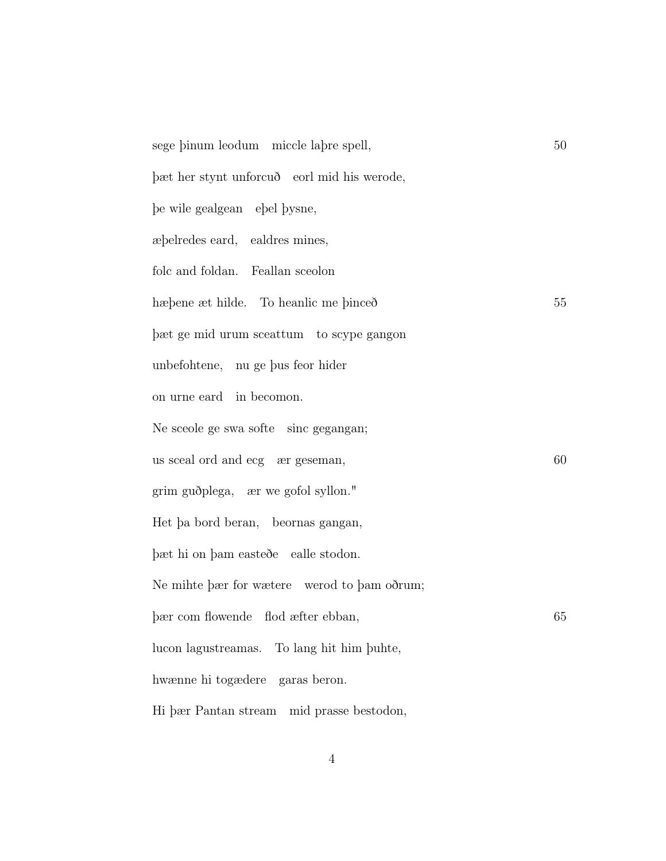| sege binum leodum miccle labre spell,         | 50 |
|-----------------------------------------------|----|
| pæt her stynt unforcuð eorl mid his werode,   |    |
| be wile gealgean ebel bysne,                  |    |
| æbelredes eard, ealdres mines,                |    |
| folc and foldan. Feallan sceolon              |    |
| hæþene æt hilde. To heanlic me þinceð         | 55 |
| pat ge mid urum sceatum to scype gangon       |    |
| unbefohtene, nu ge bus feor hider             |    |
| on urne eard in becomon.                      |    |
| Ne sceole ge swa softe sinc gegangan;         |    |
| us sceal ord and ecg ar geseman,              | 60 |
| grim guðplega, ær we gofol syllon."           |    |
| Het ba bord beran, beornas gangan,            |    |
| pæt hi on pam easteðe ealle stodon.           |    |
| Ne mihte bær for wætere werod to bam oðrum;   |    |
| bær com flowende flod æfter ebban,            | 65 |
| lucon lagustreamas.<br>To lang hit him buhte, |    |
| hwænne hi togædere<br>garas beron.            |    |
| Hi bær Pantan stream mid prasse bestodon,     |    |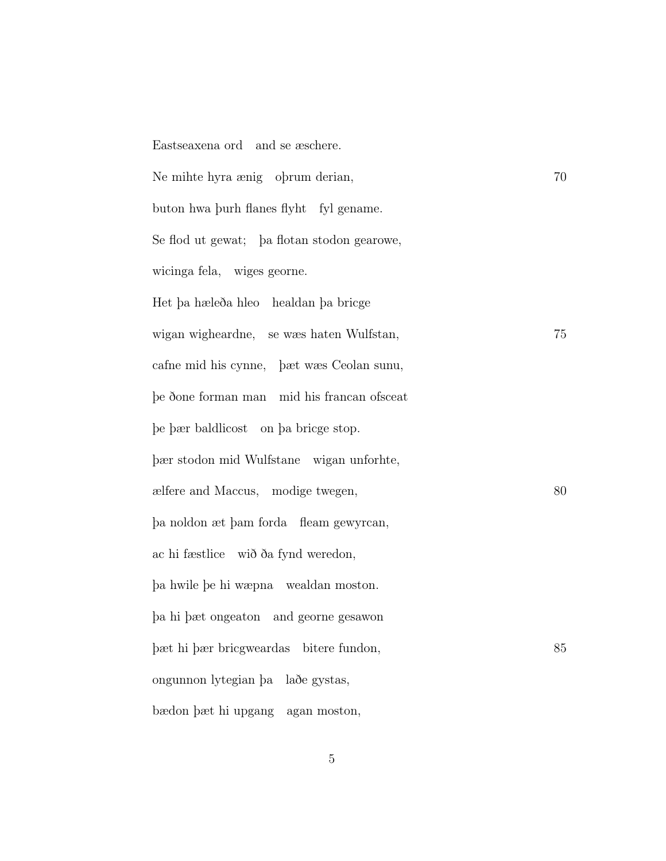| Eastseaxena ord and se æschere.             |    |
|---------------------------------------------|----|
| Ne mihte hyra ænig oprum derian,            | 70 |
| buton hwa burh flanes flyht fyl gename.     |    |
| Se flod ut gewat; ba flotan stodon gearowe, |    |
| wicinga fela, wiges georne.                 |    |
| Het ba hæleða hleo healdan ba bricge        |    |
| wigan wigheardne, se was haten Wulfstan,    | 75 |
| cafne mid his cynne, bæt wæs Ceolan sunu,   |    |
| be ðone forman man mid his francan of sceat |    |
| be bær baldlicost on ba bricge stop.        |    |
| pær stodon mid Wulfstane wigan unforhte,    |    |
| ælfere and Maccus, modige twegen,           | 80 |
| ba noldon æt bam forda fleam gewyrcan,      |    |
| ac hi fæstlice wið ða fynd weredon,         |    |
| ba hwile be hi wæpna wealdan moston.        |    |
| ba hi bæt ongeaton and georne gesawon       |    |
| bæt hi þær bricgweardas bitere fundon,      | 85 |
| ongunnon lytegian þa laðe gystas,           |    |
| bædon þæt hi upgang agan moston,            |    |

5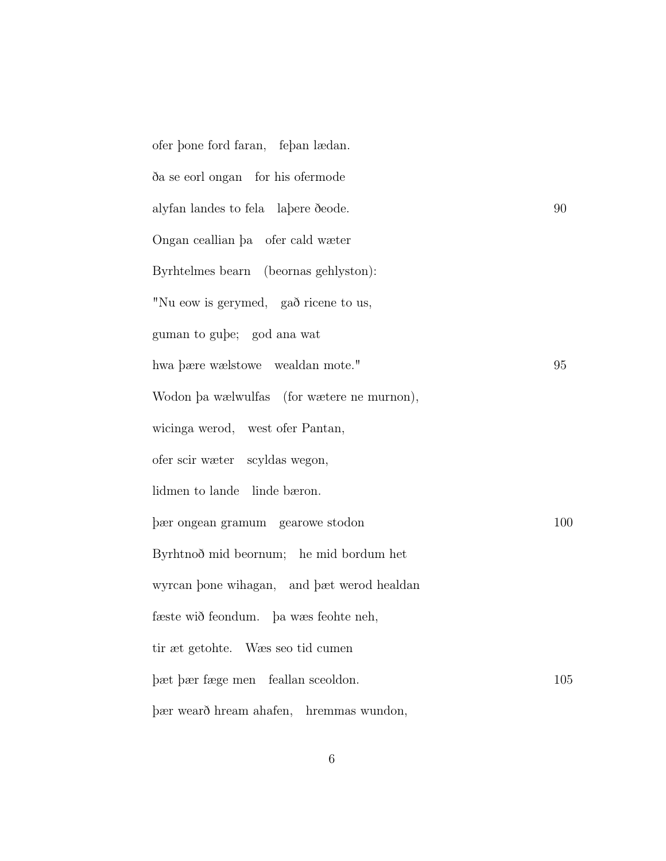ofer þone ford faran, feþan lædan. ða se eorl ongan for his ofermode alyfan landes to fela laþere ðeode. 90 Ongan ceallian þa ofer cald wæter Byrhtelmes bearn (beornas gehlyston): "Nu eow is gerymed, gað ricene to us, guman to guþe; god ana wat hwa þære wælstowe wealdan mote." 95 Wodon þa wælwulfas (for wætere ne murnon), wicinga werod, west ofer Pantan, ofer scir wæter scyldas wegon, lidmen to lande linde bæron. þær ongean gramum gearowe stodon 100 Byrhtnoð mid beornum; he mid bordum het wyrcan þone wihagan, and þæt werod healdan fæste wið feondum. þa wæs feohte neh, tir æt getohte. Wæs seo tid cumen þæt þær fæge men feallan sceoldon. 105 þær wearð hream ahafen, hremmas wundon,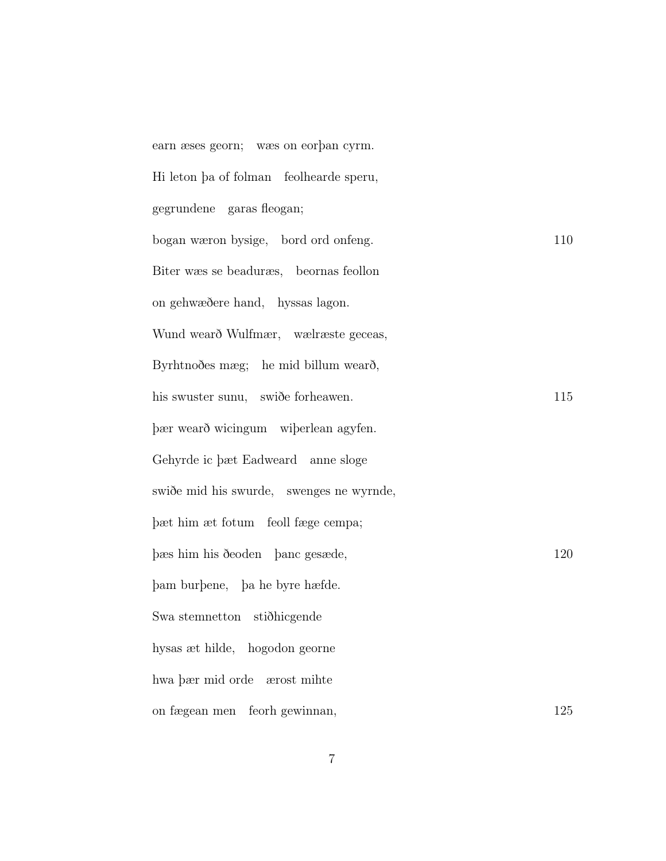earn æses georn; wæs on eorþan cyrm. Hi leton þa of folman feolhearde speru, gegrundene garas fleogan; bogan wæron bysige, bord ord onfeng. 110 Biter wæs se beaduræs, beornas feollon on gehwæðere hand, hyssas lagon. Wund wearð Wulfmær, wælræste geceas, Byrhtnoðes mæg; he mid billum wearð, his swuster sunu, swiðe forheawen. 115 þær wearð wicingum wiþerlean agyfen. Gehyrde ic þæt Eadweard anne sloge swiðe mid his swurde, swenges ne wyrnde, þæt him æt fotum feoll fæge cempa; þæs him his ðeoden þanc gesæde, 120 þam burþene, þa he byre hæfde. Swa stemnetton stiðhicgende hysas æt hilde, hogodon georne hwa þær mid orde ærost mihte on fægean men feorh gewinnan, 125

7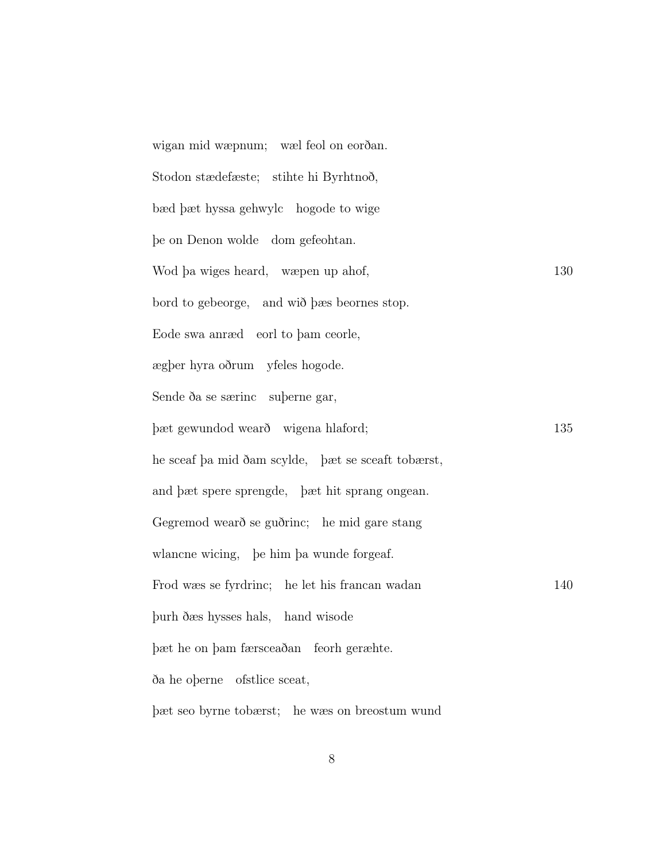wigan mid wæpnum; wæl feol on eorðan. Stodon stædefæste; stihte hi Byrhtnoð, bæd þæt hyssa gehwylc hogode to wige þe on Denon wolde dom gefeohtan. Wod þa wiges heard, wæpen up ahof, 130 bord to gebeorge, and wið þæs beornes stop. Eode swa anræd eorl to þam ceorle, ægþer hyra oðrum yfeles hogode. Sende ða se særinc suberne gar, þæt gewundod wearð wigena hlaford; 135 he sceaf þa mid ðam scylde, þæt se sceaft tobærst, and þæt spere sprengde, þæt hit sprang ongean. Gegremod wearð se guðrinc; he mid gare stang wlancne wicing, þe him þa wunde forgeaf. Frod wæs se fyrdrinc; he let his francan wadan 140 þurh ðæs hysses hals, hand wisode þæt he on þam færsceaðan feorh geræhte. ða he oþerne ofstlice sceat, þæt seo byrne tobærst; he wæs on breostum wund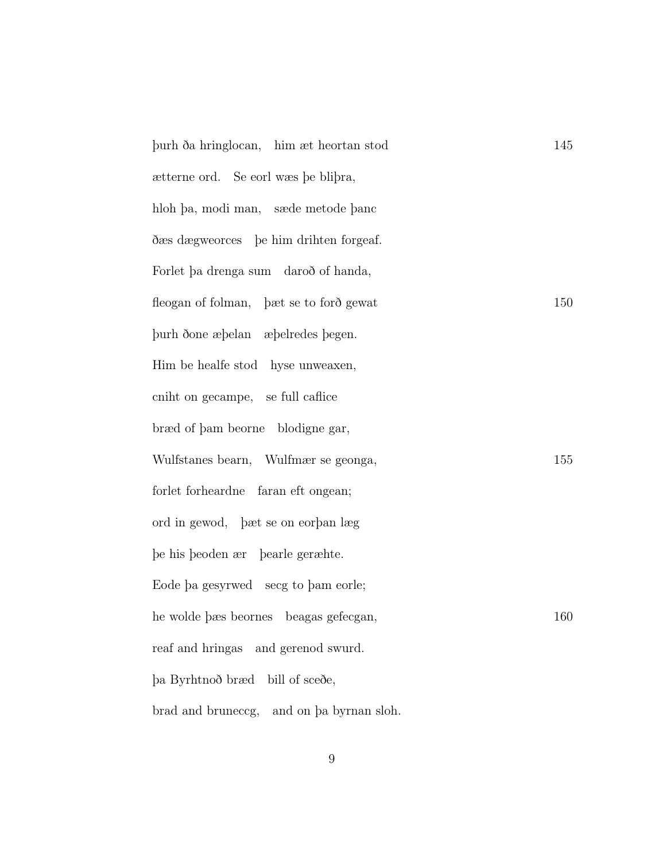| burh ða hringlocan, him æt heortan stod      | 145 |
|----------------------------------------------|-----|
| acterne ord. Se eorl was be blibra,          |     |
| hloh ba, modi man, sæde metode banc          |     |
| dass dægweorces be him drihten forgeaf.      |     |
| Forlet ba drenga sum daroð of handa,         |     |
| fleogan of folman, bæt se to forð gewat      | 150 |
| purh done æpelan æpelredes begen.            |     |
| Him be healfe stod hyse unweaxen,            |     |
| cniht on gecampe, se full caffice            |     |
| bræd of bam beorne blodigne gar,             |     |
| Wulfstanes bearn, Wulfmær se geonga,         | 155 |
| forlet forheardne faran eft ongean;          |     |
| ord in gewod, bæt se on eorban læg           |     |
| be his beoden ær bearle geræhte.             |     |
| Eode ba gesyrwed secg to bam eorle;          |     |
| he wolde bæs beornes beagas gefecgan,        | 160 |
| reaf and hringas and gerenod swurd.          |     |
| ba Byrhtnoð bræd bill of sceðe,              |     |
| brad and bruneccg,<br>and on ba byrnan sloh. |     |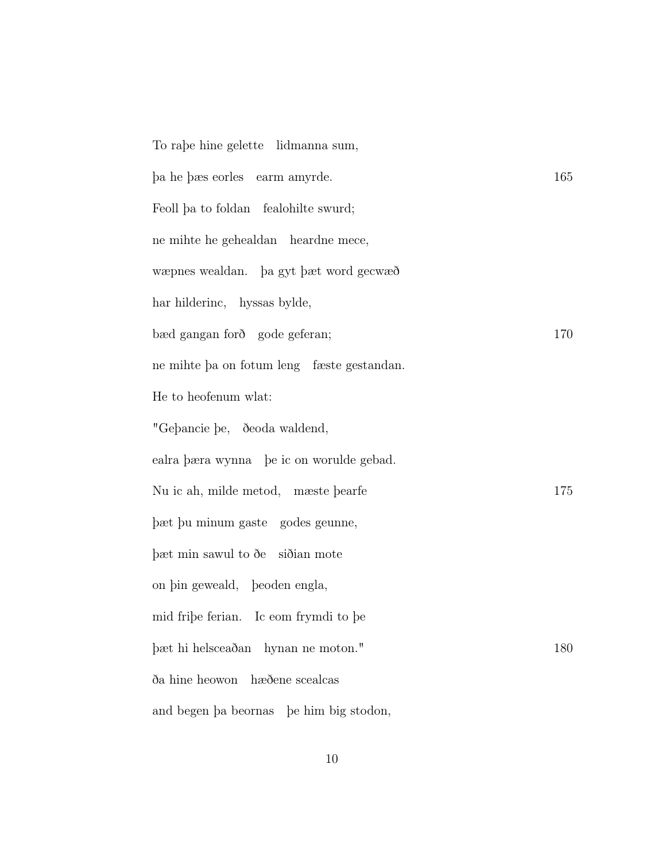| To rape hine gelette lidmanna sum,         |     |
|--------------------------------------------|-----|
| ba he bæs eorles earm amyrde.              | 165 |
| Feoll ba to foldan fealohilte swurd;       |     |
| ne mihte he geheald an heard ne mece,      |     |
| wæpnes wealdan. Þa gyt þæt word gecwæð     |     |
| har hilderinc, hyssas bylde,               |     |
| bæd gangan forð gode geferan;              | 170 |
| ne mihte ba on fotum leng fæste gestandan. |     |
| He to heofenum wlat:                       |     |
| "Gebancie be, deoda waldend,               |     |
| ealra bæra wynna be ic on worulde gebad.   |     |
| Nu ic ah, milde metod, mæste bearfe        | 175 |
| bæt bu minum gaste godes geunne,           |     |
| þæt min sawul to ðe siðian mote            |     |
| on bin geweald, beoden engla,              |     |
| mid fribe ferian. Ic eom frymdi to be      |     |
| bæt hi helsceaðan hynan ne moton."         | 180 |
| ða hine heowon<br>hæðene scealcas          |     |
| and begen ba beornas be him big stodon,    |     |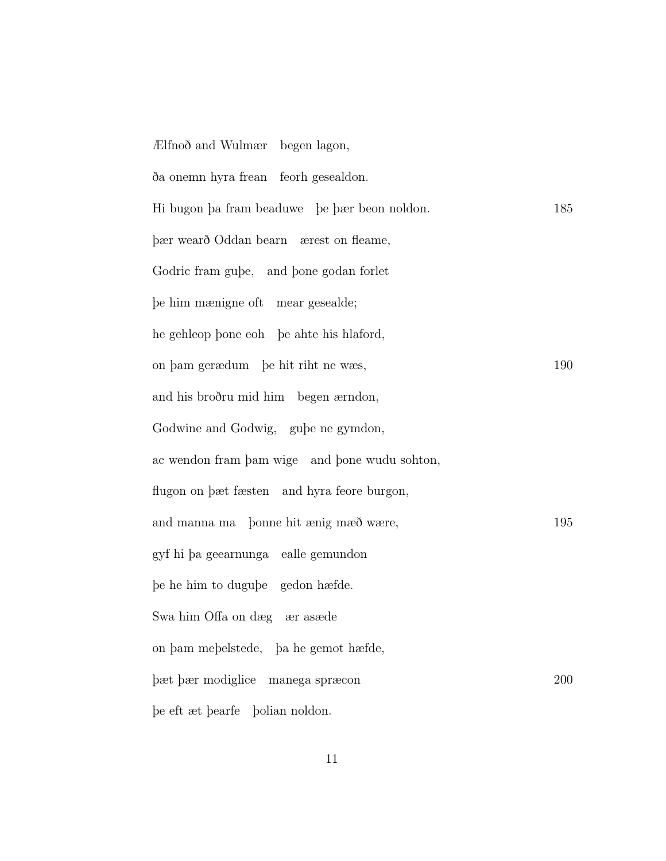| Ælfnoð and Wulmær begen lagon,                |     |
|-----------------------------------------------|-----|
| ða onemn hyra frean feorh gesealdon.          |     |
| Hi bugon ba fram beaduwe be bær beon noldon.  | 185 |
| pær wearð Oddan bearn ærest on fleame,        |     |
| Godric fram gube, and bone godan forlet       |     |
| be him mænigne oft mear gesealde;             |     |
| he gehleop bone eoh be ahte his haford,       |     |
| on bam gerædum be hit riht ne wæs,            | 190 |
| and his broðru mid him begen ærndon,          |     |
| Godwine and Godwig, gube ne gymdon,           |     |
| ac wendon fram bam wige and bone wudu sohton, |     |
| flugon on bæt fæsten and hyra feore burgon,   |     |
| and manna ma bonne hit ænig mæð wære,         | 195 |
| gyf hi þa geearnunga ealle gemundon           |     |
| be he him to dugube gedon hæfde.              |     |
| Swa him Offa on dæg ær asæde                  |     |
| on bam mebelstede, ba he gemot hæfde,         |     |
| bæt bær modiglice manega spræcon              | 200 |
| be eft æt bearfe bolian noldon.               |     |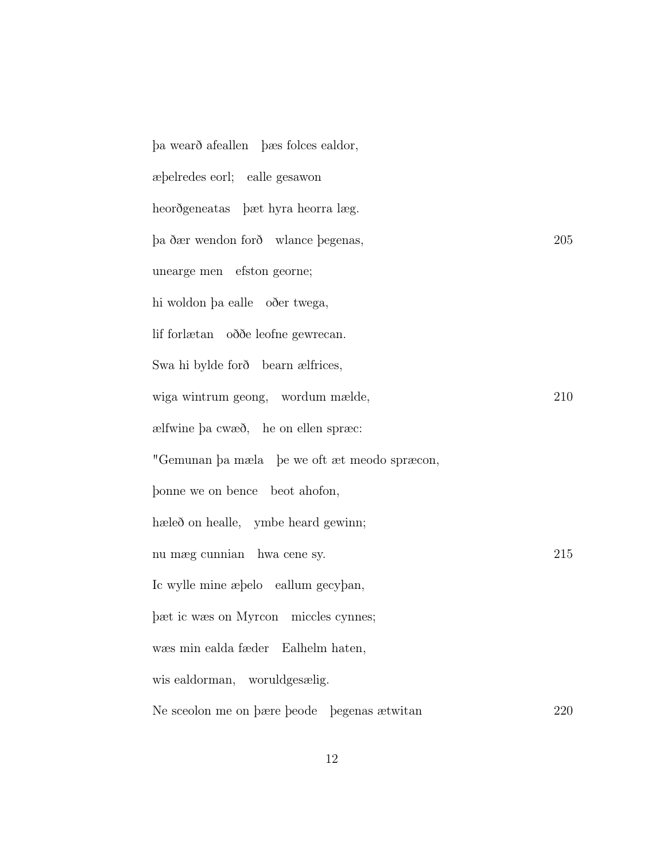þa wearð afeallen þæs folces ealdor, æþelredes eorl; ealle gesawon heorðgeneatas þæt hyra heorra læg. þa ðær wendon forð wlance þegenas, 205 unearge men efston georne; hi woldon þa ealle oðer twega, lif forlætan oððe leofne gewrecan. Swa hi bylde forð bearn ælfrices, wiga wintrum geong, wordum mælde, 210 ælfwine þa cwæð, he on ellen spræc: "Gemunan þa mæla þe we oft æt meodo spræcon, þonne we on bence beot ahofon, hæleð on healle, ymbe heard gewinn; nu mæg cunnian hwa cene sy. 215 Ic wylle mine æþelo eallum gecyþan, þæt ic wæs on Myrcon miccles cynnes; wæs min ealda fæder Ealhelm haten, wis ealdorman, woruldgesælig. Ne sceolon me on þære þeode þegenas ætwitan 220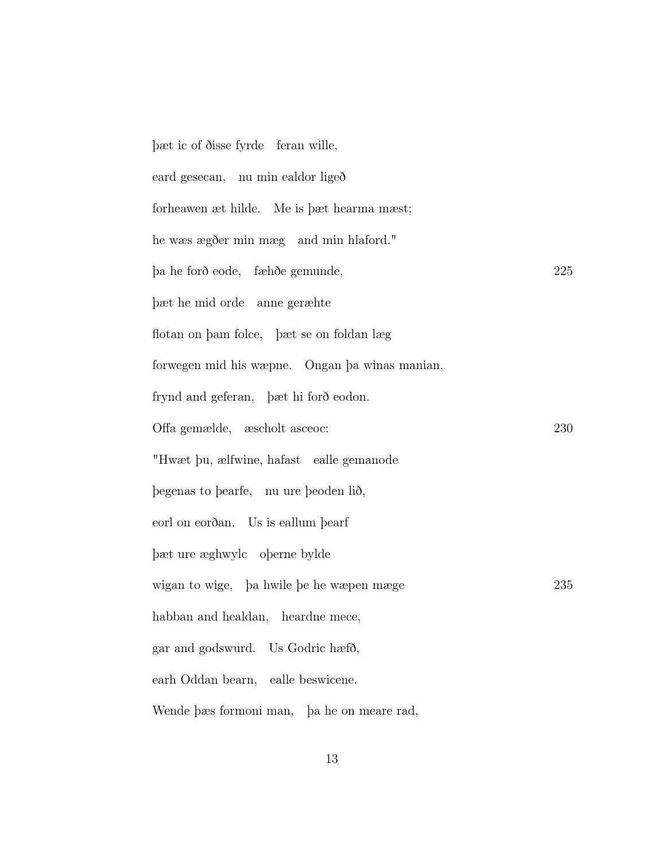| pæt ic of ðisse fyrde feran wille,             |     |
|------------------------------------------------|-----|
| eard gesecan, nu min ealdor ligeð              |     |
| forheawen æt hilde. Me is bæt hearma mæst;     |     |
| he wæs ægðer min mæg and min hlaford."         |     |
| pa he forð eode, fæhðe gemunde,                | 225 |
| pæt he mid orde anne geræhte                   |     |
| flotan on bam folce, bæt se on foldan læg      |     |
| forwegen mid his wæpne. Ongan þa winas manian, |     |
| frynd and geferan, bæt hi forð eodon.          |     |
| Offa gemælde, æscholt asceoc:                  | 230 |
| "Hwæt bu, ælfwine, hafast ealle gemanode       |     |
| begenas to bearfe, nu ure beoden lið,          |     |
| eorl on eorðan. Us is eallum þearf             |     |
| bæt ure æghwylc oberne bylde                   |     |
| wigan to wige, ba hwile be he wæpen mæge       | 235 |
| habban and healdan, heardne mece,              |     |
| gar and godswurd. Us Godric hæfð,              |     |
| earh Oddan bearn, ealle beswicene.             |     |
| Wende bæs formoni man, ba he on meare rad,     |     |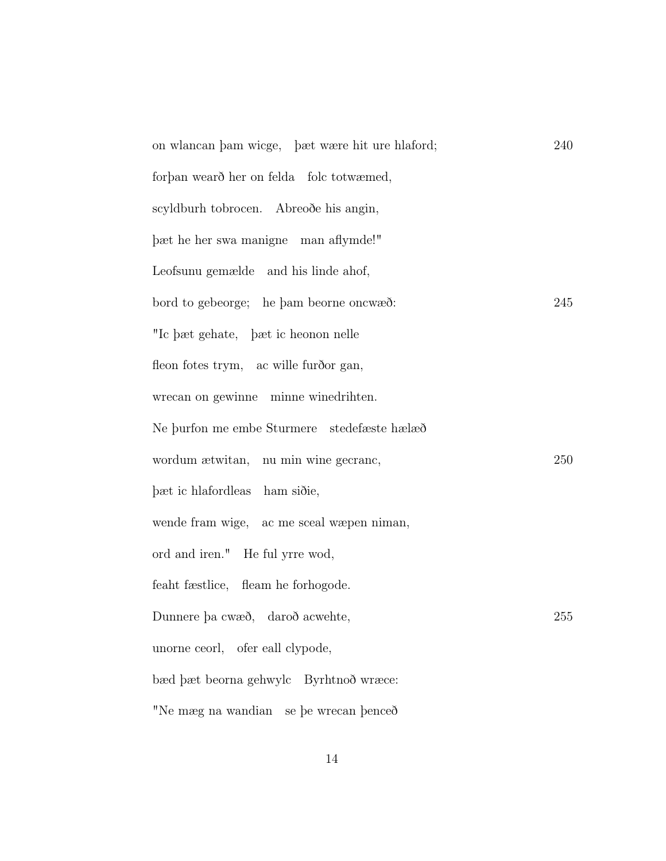| on wlancan bam wicge, bæt wære hit ure hlaford; | 240 |
|-------------------------------------------------|-----|
| forban weard her on felda folc totwæmed,        |     |
| scyldburh tobrocen. Abreode his angin,          |     |
| bæt he her swa manigne man aflymde!"            |     |
| Leofsunu gemælde and his linde ahof,            |     |
| bord to gebeorge; he bam beorne oncwæð:         | 245 |
| "Ic bæt gehate, bæt ic heonon nelle             |     |
| fleon fotes trym, ac wille furðor gan,          |     |
| wrecan on gewinne minne winedrihten.            |     |
| Ne burfon me embe Sturmere stedefæste hælæð     |     |
| wordum ætwitan, nu min wine gecrane,            | 250 |
| bæt ic hlafordleas ham siðie,                   |     |
| wende fram wige, ac me sceal wæpen niman,       |     |
| ord and iren." He ful yrre wod,                 |     |
| feaht fæstlice, fleam he forhogode.             |     |
| Dunnere pa cwæð, daroð acwehte,                 | 255 |
| unorne ceorl, ofer eall clypode,                |     |
| bæd þæt beorna gehwylc Byrhtnoð wræce:          |     |
| "Ne mæg na wandian se be wrecan benceð          |     |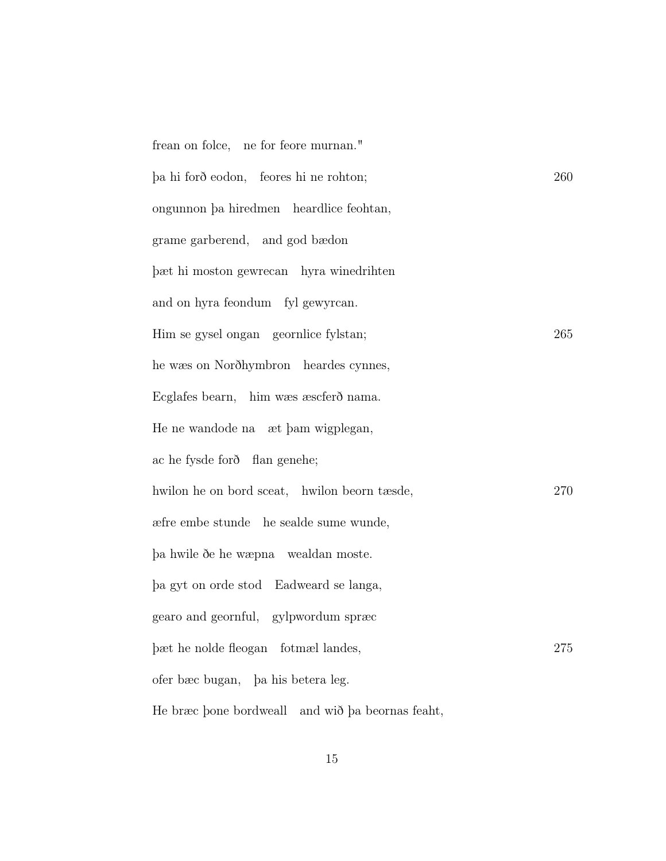| frean on folce, ne for feore murnan."            |     |
|--------------------------------------------------|-----|
| pa hi forð eodon, feores hi ne rohton;           | 260 |
| ongunnon ba hiredmen heardlice feohtan,          |     |
| grame garberend, and god bædon                   |     |
| bæt hi moston gewrecan hyra winedrihten          |     |
| and on hyra feondum fyl gewyrcan.                |     |
| Him se gysel ongan geornlice fylstan;            | 265 |
| he was on Norðhymbron heardes cynnes,            |     |
| Ecglafes bearn, him was asscfero nama.           |     |
| He ne wandode na ext bam wigplegan,              |     |
| ac he fysde forð flan genehe;                    |     |
| hwilon he on bord sceat, hwilon beorn tæsde,     | 270 |
| aefre embe stunde he sealde sume wunde,          |     |
| ba hwile ðe he wæpna wealdan moste.              |     |
| ba gyt on orde stod Eadweard se langa,           |     |
| gearo and geornful, gylpwordum spræc             |     |
| bæt he nolde fleogan fotmæl landes,              | 275 |
| ofer bæc bugan, ba his betera leg.               |     |
| He bræc bone bordweall and wið ba beornas feaht, |     |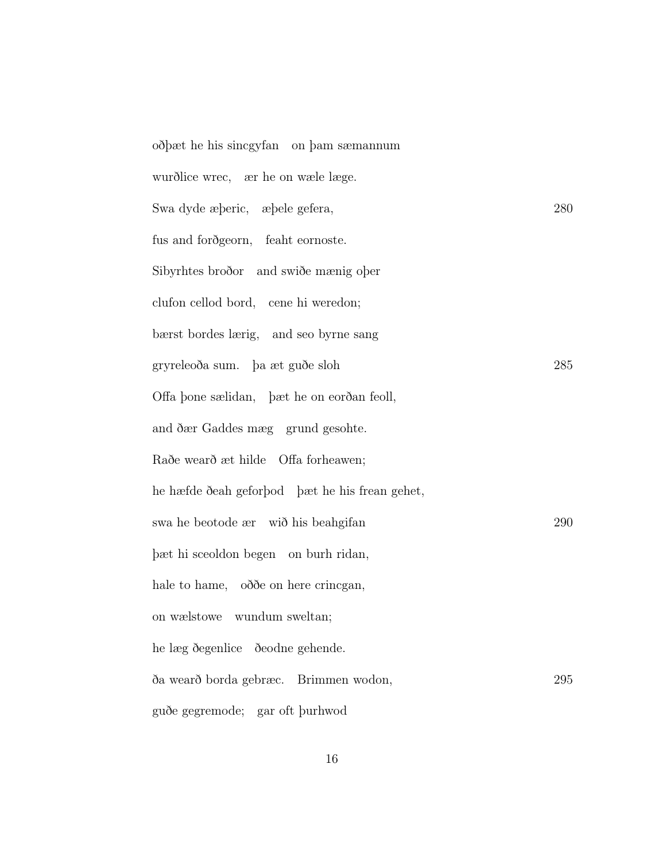| oð bæt he his sincey fan on bam sæmannum       |     |
|------------------------------------------------|-----|
| wurdlice wrec, ær he on wæle læge.             |     |
| Swa dyde æberic, æbele gefera,                 | 280 |
| fus and for ogeorn, feaht eornoste.            |     |
| Sibyrhtes broðor and swiðe mænig ober          |     |
| clufon cellod bord, cene hi weredon;           |     |
| bærst bordes lærig, and seo byrne sang         |     |
| gryreleoða sum. þa æt guðe sloh                | 285 |
| Offa bone sælidan, bæt he on eorðan feoll,     |     |
| and ðær Gaddes mæg grund gesohte.              |     |
| Raðe wearð æt hilde Offa forheawen;            |     |
| he hæfde ðeah geforbod bæt he his frean gehet, |     |
| swa he beotode ær wið his beahgifan            | 290 |
| bæt hi sceoldon begen on burh ridan,           |     |
| hale to hame, odde on here crincgan,           |     |
| on wælstowe wundum sweltan;                    |     |
| he læg ðegenlice deodne gehende.               |     |
| ða wearð borda gebræc. Brimmen wodon,          | 295 |
| guðe gegremode; gar oft þurhwod                |     |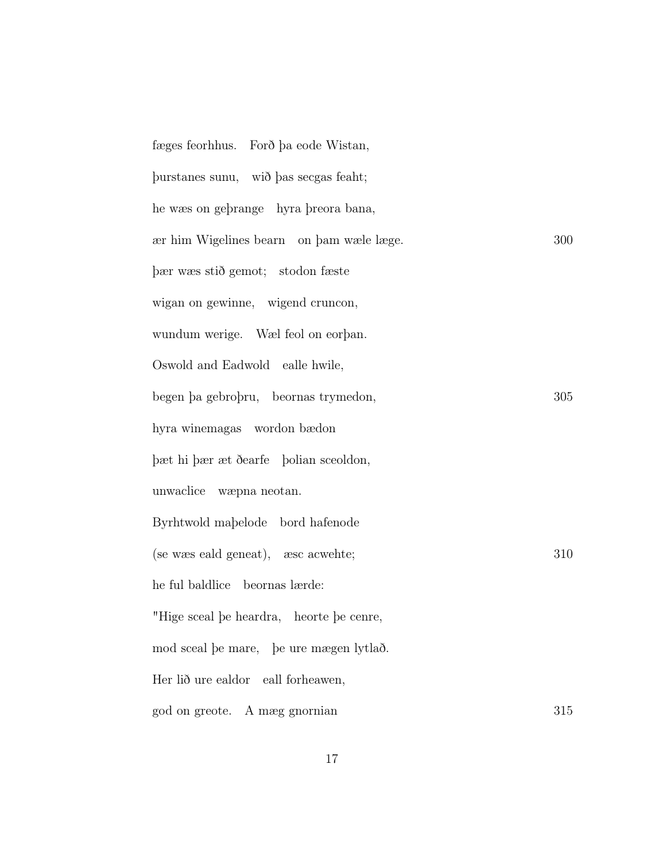| fæges feorhhus. Forð þa eode Wistan,      |     |
|-------------------------------------------|-----|
| burstanes sunu, wið þas secgas feaht;     |     |
| he was on gebrange hyra breora bana,      |     |
| aer him Wigelines bearn on bam wæle læge. | 300 |
| pær wæs stið gemot; stodon fæste          |     |
| wigan on gewinne, wigend cruncon,         |     |
| wundum werige. Wæl feol on eorban.        |     |
| Oswold and Eadwold ealle hwile,           |     |
| begen ba gebropru, beornas trymedon,      | 305 |
| hyra winemagas wordon bædon               |     |
| þæt hi þær æt ðearfe þolian sceoldon,     |     |
| unwaclice was meet an.                    |     |
| Byrhtwold mabelode bord hafenode          |     |
| (se was eald geneat), asc acwehte;        | 310 |
| he ful baldlice beornas lærde:            |     |
| "Hige sceal be heardra, heorte be cenre,  |     |
| mod sceal be mare, be ure mægen lytlað.   |     |
| Her lið ure ealdor eall forheawen,        |     |
| god on greote. A mæg gnornian             | 315 |